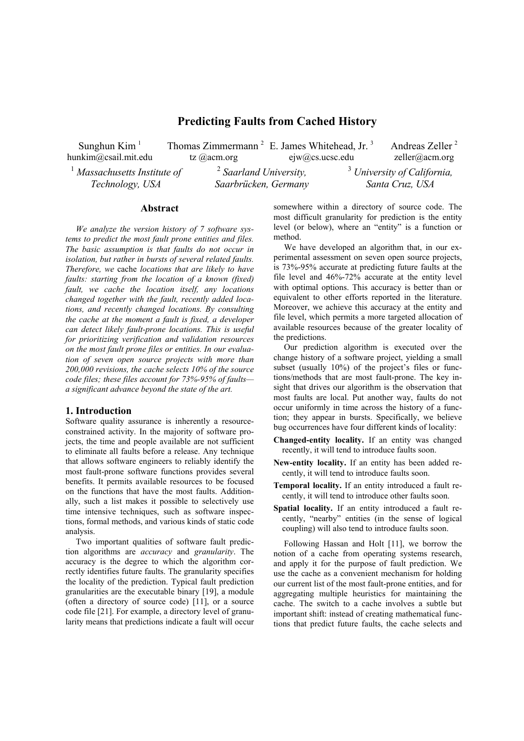# **Predicting Faults from Cached History**

Sunghun Kim $<sup>1</sup>$ </sup> hunkim@csail.mit.edu

tz @acm.org

ejw@cs.ucsc.edu <sup>2</sup> *Saarland University,* 

Thomas Zimmermann<sup>2</sup> E. James Whitehead, Jr.<sup>3</sup> zeller@acm.org <sup>3</sup> *University of California,* 

Andreas Zeller <sup>2</sup>

<sup>1</sup> *Massachusetts Institute of Technology, USA* 

*Saarbrücken, Germany* 

*Santa Cruz, USA* 

## **Abstract**

*We analyze the version history of 7 software systems to predict the most fault prone entities and files. The basic assumption is that faults do not occur in isolation, but rather in bursts of several related faults. Therefore, we* cache *locations that are likely to have faults: starting from the location of a known (fixed) fault, we cache the location itself, any locations changed together with the fault, recently added locations, and recently changed locations. By consulting the cache at the moment a fault is fixed, a developer can detect likely fault-prone locations. This is useful for prioritizing verification and validation resources on the most fault prone files or entities. In our evaluation of seven open source projects with more than 200,000 revisions, the cache selects 10% of the source code files; these files account for 73%-95% of faults a significant advance beyond the state of the art.* 

### **1. Introduction**

Software quality assurance is inherently a resourceconstrained activity. In the majority of software projects, the time and people available are not sufficient to eliminate all faults before a release. Any technique that allows software engineers to reliably identify the most fault-prone software functions provides several benefits. It permits available resources to be focused on the functions that have the most faults. Additionally, such a list makes it possible to selectively use time intensive techniques, such as software inspections, formal methods, and various kinds of static code analysis.

Two important qualities of software fault prediction algorithms are *accuracy* and *granularity*. The accuracy is the degree to which the algorithm correctly identifies future faults. The granularity specifies the locality of the prediction. Typical fault prediction granularities are the executable binary [19], a module (often a directory of source code) [11], or a source code file [21]. For example, a directory level of granularity means that predictions indicate a fault will occur

somewhere within a directory of source code. The most difficult granularity for prediction is the entity level (or below), where an "entity" is a function or method.

We have developed an algorithm that, in our experimental assessment on seven open source projects, is 73%-95% accurate at predicting future faults at the file level and 46%-72% accurate at the entity level with optimal options. This accuracy is better than or equivalent to other efforts reported in the literature. Moreover, we achieve this accuracy at the entity and file level, which permits a more targeted allocation of available resources because of the greater locality of the predictions.

Our prediction algorithm is executed over the change history of a software project, yielding a small subset (usually 10%) of the project's files or functions/methods that are most fault-prone. The key insight that drives our algorithm is the observation that most faults are local. Put another way, faults do not occur uniformly in time across the history of a function; they appear in bursts. Specifically, we believe bug occurrences have four different kinds of locality:

- **Changed-entity locality.** If an entity was changed recently, it will tend to introduce faults soon.
- **New-entity locality.** If an entity has been added recently, it will tend to introduce faults soon.
- **Temporal locality.** If an entity introduced a fault recently, it will tend to introduce other faults soon.
- **Spatial locality.** If an entity introduced a fault recently, "nearby" entities (in the sense of logical coupling) will also tend to introduce faults soon.

Following Hassan and Holt [11], we borrow the notion of a cache from operating systems research, and apply it for the purpose of fault prediction. We use the cache as a convenient mechanism for holding our current list of the most fault-prone entities, and for aggregating multiple heuristics for maintaining the cache. The switch to a cache involves a subtle but important shift: instead of creating mathematical functions that predict future faults, the cache selects and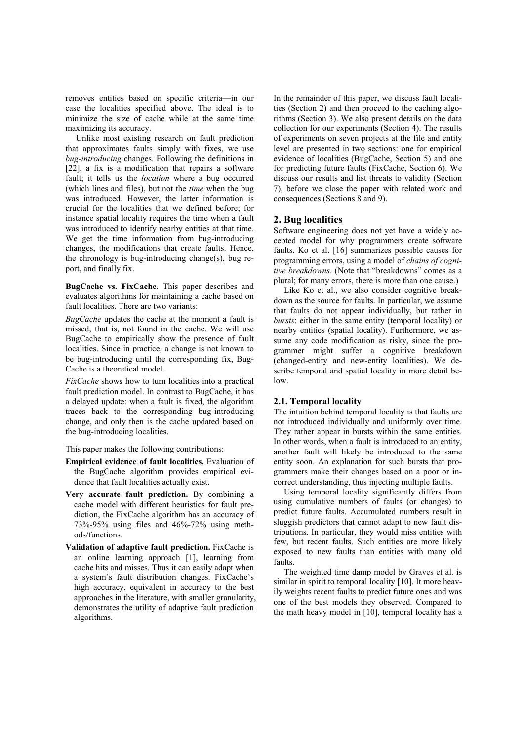removes entities based on specific criteria—in our case the localities specified above. The ideal is to minimize the size of cache while at the same time maximizing its accuracy.

Unlike most existing research on fault prediction that approximates faults simply with fixes, we use *bug-introducing* changes. Following the definitions in [22], a fix is a modification that repairs a software fault; it tells us the *location* where a bug occurred (which lines and files), but not the *time* when the bug was introduced. However, the latter information is crucial for the localities that we defined before; for instance spatial locality requires the time when a fault was introduced to identify nearby entities at that time. We get the time information from bug-introducing changes, the modifications that create faults. Hence, the chronology is bug-introducing change(s), bug report, and finally fix.

**BugCache vs. FixCache.** This paper describes and evaluates algorithms for maintaining a cache based on fault localities. There are two variants:

*BugCache* updates the cache at the moment a fault is missed, that is, not found in the cache. We will use BugCache to empirically show the presence of fault localities. Since in practice, a change is not known to be bug-introducing until the corresponding fix, Bug-Cache is a theoretical model.

*FixCache* shows how to turn localities into a practical fault prediction model. In contrast to BugCache, it has a delayed update: when a fault is fixed, the algorithm traces back to the corresponding bug-introducing change, and only then is the cache updated based on the bug-introducing localities.

This paper makes the following contributions:

- **Empirical evidence of fault localities.** Evaluation of the BugCache algorithm provides empirical evidence that fault localities actually exist.
- **Very accurate fault prediction.** By combining a cache model with different heuristics for fault prediction, the FixCache algorithm has an accuracy of 73%-95% using files and 46%-72% using methods/functions.
- **Validation of adaptive fault prediction.** FixCache is an online learning approach [1], learning from cache hits and misses. Thus it can easily adapt when a system's fault distribution changes. FixCache's high accuracy, equivalent in accuracy to the best approaches in the literature, with smaller granularity, demonstrates the utility of adaptive fault prediction algorithms.

In the remainder of this paper, we discuss fault localities (Section 2) and then proceed to the caching algorithms (Section 3). We also present details on the data collection for our experiments (Section 4). The results of experiments on seven projects at the file and entity level are presented in two sections: one for empirical evidence of localities (BugCache, Section 5) and one for predicting future faults (FixCache, Section 6). We discuss our results and list threats to validity (Section 7), before we close the paper with related work and consequences (Sections 8 and 9).

## **2. Bug localities**

Software engineering does not yet have a widely accepted model for why programmers create software faults. Ko et al. [16] summarizes possible causes for programming errors, using a model of *chains of cognitive breakdowns*. (Note that "breakdowns" comes as a plural; for many errors, there is more than one cause.)

Like Ko et al., we also consider cognitive breakdown as the source for faults. In particular, we assume that faults do not appear individually, but rather in *bursts*: either in the same entity (temporal locality) or nearby entities (spatial locality). Furthermore, we assume any code modification as risky, since the programmer might suffer a cognitive breakdown (changed-entity and new-entity localities). We describe temporal and spatial locality in more detail below.

### **2.1. Temporal locality**

The intuition behind temporal locality is that faults are not introduced individually and uniformly over time. They rather appear in bursts within the same entities. In other words, when a fault is introduced to an entity, another fault will likely be introduced to the same entity soon. An explanation for such bursts that programmers make their changes based on a poor or incorrect understanding, thus injecting multiple faults.

Using temporal locality significantly differs from using cumulative numbers of faults (or changes) to predict future faults. Accumulated numbers result in sluggish predictors that cannot adapt to new fault distributions. In particular, they would miss entities with few, but recent faults. Such entities are more likely exposed to new faults than entities with many old faults.

The weighted time damp model by Graves et al. is similar in spirit to temporal locality [10]. It more heavily weights recent faults to predict future ones and was one of the best models they observed. Compared to the math heavy model in [10], temporal locality has a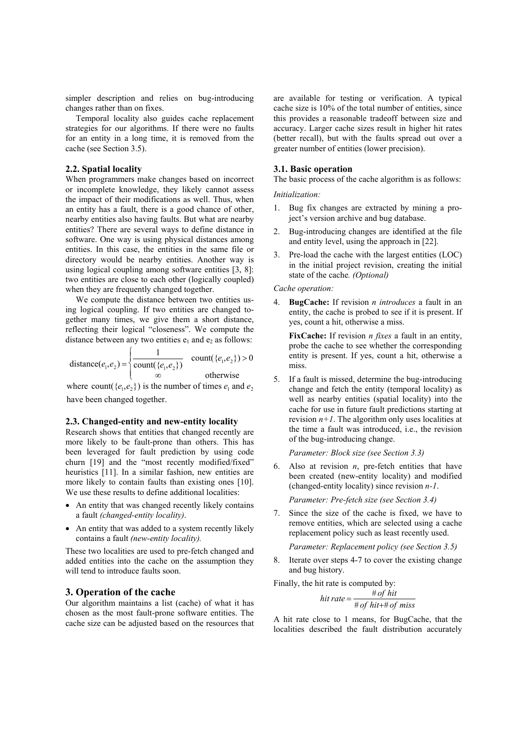simpler description and relies on bug-introducing changes rather than on fixes.

Temporal locality also guides cache replacement strategies for our algorithms. If there were no faults for an entity in a long time, it is removed from the cache (see Section 3.5).

### **2.2. Spatial locality**

When programmers make changes based on incorrect or incomplete knowledge, they likely cannot assess the impact of their modifications as well. Thus, when an entity has a fault, there is a good chance of other, nearby entities also having faults. But what are nearby entities? There are several ways to define distance in software. One way is using physical distances among entities. In this case, the entities in the same file or directory would be nearby entities. Another way is using logical coupling among software entities [3, 8]: two entities are close to each other (logically coupled) when they are frequently changed together.

We compute the distance between two entities using logical coupling. If two entities are changed together many times, we give them a short distance, reflecting their logical "closeness". We compute the distance between any two entities  $e_1$  and  $e_2$  as follows:

distance
$$
(e_1, e_2)
$$
 = 
$$
\begin{cases} \frac{1}{\text{count}(\{e_1, e_2\})} & \text{count}(\{e_1, e_2\}) > 0\\ \infty & \text{otherwise} \end{cases}
$$

where count( $\{e_1, e_2\}$ ) is the number of times  $e_1$  and  $e_2$ have been changed together.

#### **2.3. Changed-entity and new-entity locality**

Research shows that entities that changed recently are more likely to be fault-prone than others. This has been leveraged for fault prediction by using code churn [19] and the "most recently modified/fixed" heuristics [11]. In a similar fashion, new entities are more likely to contain faults than existing ones [10]. We use these results to define additional localities:

- An entity that was changed recently likely contains a fault *(changed-entity locality)*.
- An entity that was added to a system recently likely contains a fault *(new-entity locality).*

These two localities are used to pre-fetch changed and added entities into the cache on the assumption they will tend to introduce faults soon.

### **3. Operation of the cache**

Our algorithm maintains a list (cache) of what it has chosen as the most fault-prone software entities. The cache size can be adjusted based on the resources that are available for testing or verification. A typical cache size is 10% of the total number of entities, since this provides a reasonable tradeoff between size and accuracy. Larger cache sizes result in higher hit rates (better recall), but with the faults spread out over a greater number of entities (lower precision).

#### **3.1. Basic operation**

The basic process of the cache algorithm is as follows:

#### *Initialization:*

- 1. Bug fix changes are extracted by mining a project's version archive and bug database.
- 2. Bug-introducing changes are identified at the file and entity level, using the approach in [22].
- 3. Pre-load the cache with the largest entities (LOC) in the initial project revision, creating the initial state of the cache*. (Optional)*

#### *Cache operation:*

4. **BugCache:** If revision *n introduces* a fault in an entity, the cache is probed to see if it is present. If yes, count a hit, otherwise a miss.

**FixCache:** If revision *n fixes* a fault in an entity, probe the cache to see whether the corresponding entity is present. If yes, count a hit, otherwise a miss.

5. If a fault is missed, determine the bug-introducing change and fetch the entity (temporal locality) as well as nearby entities (spatial locality) into the cache for use in future fault predictions starting at revision  $n+1$ . The algorithm only uses localities at the time a fault was introduced, i.e., the revision of the bug-introducing change.

*Parameter: Block size (see Section 3.3)* 

6. Also at revision  $n$ , pre-fetch entities that have been created (new-entity locality) and modified (changed-entity locality) since revision *n-1*.

*Parameter: Pre-fetch size (see Section 3.4)* 

7. Since the size of the cache is fixed, we have to remove entities, which are selected using a cache replacement policy such as least recently used.

*Parameter: Replacement policy (see Section 3.5)* 

8. Iterate over steps 4-7 to cover the existing change and bug history.

Finally, the hit rate is computed by:

$$
hit\ rate = \frac{\# of\ hit}{\# of\ hit + \# of\ miss}
$$

A hit rate close to 1 means, for BugCache, that the localities described the fault distribution accurately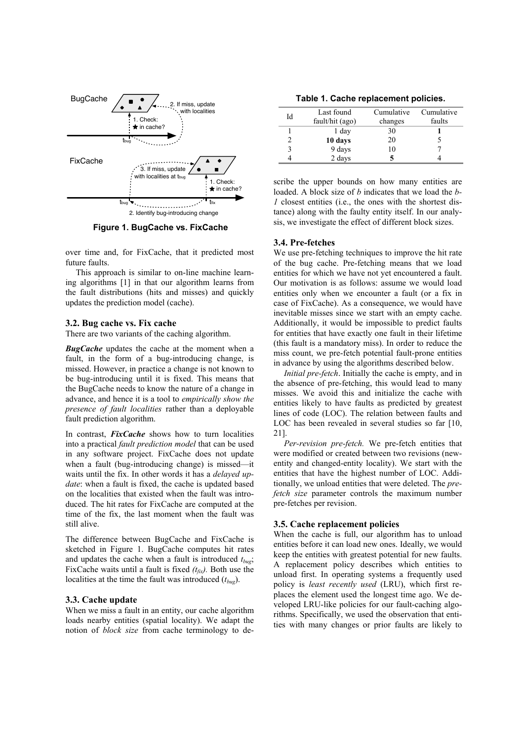

**Figure 1. BugCache vs. FixCache** 

over time and, for FixCache, that it predicted most future faults.

This approach is similar to on-line machine learning algorithms [1] in that our algorithm learns from the fault distributions (hits and misses) and quickly updates the prediction model (cache).

### **3.2. Bug cache vs. Fix cache**

There are two variants of the caching algorithm.

**BugCache** updates the cache at the moment when a fault, in the form of a bug-introducing change, is missed. However, in practice a change is not known to be bug-introducing until it is fixed. This means that the BugCache needs to know the nature of a change in advance, and hence it is a tool to *empirically show the presence of fault localities* rather than a deployable fault prediction algorithm.

In contrast, *FixCache* shows how to turn localities into a practical *fault prediction model* that can be used in any software project. FixCache does not update when a fault (bug-introducing change) is missed—it waits until the fix. In other words it has a *delayed update*: when a fault is fixed, the cache is updated based on the localities that existed when the fault was introduced. The hit rates for FixCache are computed at the time of the fix, the last moment when the fault was still alive.

The difference between BugCache and FixCache is sketched in Figure 1. BugCache computes hit rates and updates the cache when a fault is introduced  $t_{bug}$ ; FixCache waits until a fault is fixed  $(t_{fix})$ . Both use the localities at the time the fault was introduced (*tbug*).

#### **3.3. Cache update**

When we miss a fault in an entity, our cache algorithm loads nearby entities (spatial locality). We adapt the notion of *block size* from cache terminology to de-

| Table 1. Cache replacement policies. |
|--------------------------------------|
|--------------------------------------|

| Id | Last found      | Cumulative | Cumulative |  |  |
|----|-----------------|------------|------------|--|--|
|    | fault/hit (ago) | changes    | faults     |  |  |
|    | 1 day           | 30         |            |  |  |
|    | 10 days         | 20         |            |  |  |
| 3  | 9 days          | 10         |            |  |  |
|    | 2 days          |            |            |  |  |
|    |                 |            |            |  |  |

scribe the upper bounds on how many entities are loaded. A block size of *b* indicates that we load the *b-1* closest entities (i.e., the ones with the shortest distance) along with the faulty entity itself. In our analysis, we investigate the effect of different block sizes.

#### **3.4. Pre-fetches**

We use pre-fetching techniques to improve the hit rate of the bug cache. Pre-fetching means that we load entities for which we have not yet encountered a fault. Our motivation is as follows: assume we would load entities only when we encounter a fault (or a fix in case of FixCache). As a consequence, we would have inevitable misses since we start with an empty cache. Additionally, it would be impossible to predict faults for entities that have exactly one fault in their lifetime (this fault is a mandatory miss). In order to reduce the miss count, we pre-fetch potential fault-prone entities in advance by using the algorithms described below.

*Initial pre-fetch*. Initially the cache is empty, and in the absence of pre-fetching, this would lead to many misses. We avoid this and initialize the cache with entities likely to have faults as predicted by greatest lines of code (LOC). The relation between faults and LOC has been revealed in several studies so far [10, 21].

*Per-revision pre-fetch.* We pre-fetch entities that were modified or created between two revisions (newentity and changed-entity locality). We start with the entities that have the highest number of LOC. Additionally, we unload entities that were deleted. The *prefetch size* parameter controls the maximum number pre-fetches per revision.

### **3.5. Cache replacement policies**

When the cache is full, our algorithm has to unload entities before it can load new ones. Ideally, we would keep the entities with greatest potential for new faults. A replacement policy describes which entities to unload first. In operating systems a frequently used policy is *least recently used* (LRU), which first replaces the element used the longest time ago. We developed LRU-like policies for our fault-caching algorithms. Specifically, we used the observation that entities with many changes or prior faults are likely to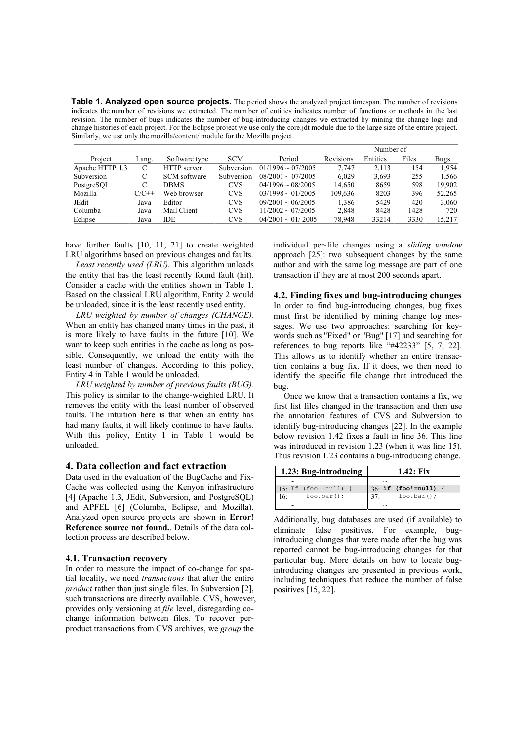**Table 1. Analyzed open source projects.** The period shows the analyzed project timespan. The number of revisions indicates the num ber of revisions we extracted. The num ber of entities indicates number of functions or methods in the last revision. The number of bugs indicates the number of bug-introducing changes we extracted by mining the change logs and change histories of each project. For the Eclipse project we use only the core.jdt module due to the large size of the entire project. Similarly, we use only the mozilla/content/ module for the Mozilla project.

|                 |                 |               |            |                           | Number of |          |       |        |
|-----------------|-----------------|---------------|------------|---------------------------|-----------|----------|-------|--------|
| Project         | $\text{Lang}$ . | Software type | <b>SCM</b> | Period                    | Revisions | Entities | Files | Bugs   |
| Apache HTTP 1.3 | C               | HTTP server   | Subversion | $01/1996 \sim 07/2005$    | 7.747     | 2.113    | 154   | 1.954  |
| Subversion      | С               | SCM software  | Subversion | $08/2001 \approx 07/2005$ | 6.029     | 3,693    | 255   | 1,566  |
| PostgreSQL      |                 | DBMS          | <b>CVS</b> | $04/1996 \sim 08/2005$    | 14.650    | 8659     | 598   | 19.902 |
| Mozilla         | $C/C++$         | Web browser   | <b>CVS</b> | $03/1998 \sim 01/2005$    | 109.636   | 8203     | 396   | 52,265 |
| JEdit           | Java            | Editor        | <b>CVS</b> | $09/2001 \sim 06/2005$    | 1,386     | 5429     | 420   | 3,060  |
| Columba         | Java            | Mail Client   | <b>CVS</b> | $11/2002 \sim 07/2005$    | 2,848     | 8428     | 1428  | 720    |
| Eclipse         | Java            | IDE           | <b>CVS</b> | $04/2001 \sim 01/2005$    | 78,948    | 33214    | 3330  | 15,217 |

have further faults [10, 11, 21] to create weighted LRU algorithms based on previous changes and faults.

*Least recently used (LRU).* This algorithm unloads the entity that has the least recently found fault (hit). Consider a cache with the entities shown in Table 1. Based on the classical LRU algorithm, Entity 2 would be unloaded, since it is the least recently used entity.

*LRU weighted by number of changes (CHANGE).* When an entity has changed many times in the past, it is more likely to have faults in the future [10]. We want to keep such entities in the cache as long as possible. Consequently, we unload the entity with the least number of changes. According to this policy, Entity 4 in Table 1 would be unloaded.

*LRU weighted by number of previous faults (BUG).* This policy is similar to the change-weighted LRU. It removes the entity with the least number of observed faults. The intuition here is that when an entity has had many faults, it will likely continue to have faults. With this policy, Entity 1 in Table 1 would be unloaded.

#### **4. Data collection and fact extraction**

Data used in the evaluation of the BugCache and Fix-Cache was collected using the Kenyon infrastructure [4] (Apache 1.3, JEdit, Subversion, and PostgreSQL) and APFEL [6] (Columba, Eclipse, and Mozilla). Analyzed open source projects are shown in **Error! Reference source not found.**. Details of the data collection process are described below.

#### **4.1. Transaction recovery**

In order to measure the impact of co-change for spatial locality, we need *transactions* that alter the entire *product* rather than just single files. In Subversion [2], such transactions are directly available. CVS, however, provides only versioning at *file* level, disregarding cochange information between files. To recover perproduct transactions from CVS archives, we *group* the

individual per-file changes using a *sliding window* approach [25]: two subsequent changes by the same author and with the same log message are part of one transaction if they are at most 200 seconds apart.

**4.2. Finding fixes and bug-introducing changes**  In order to find bug-introducing changes, bug fixes must first be identified by mining change log messages. We use two approaches: searching for keywords such as "Fixed" or "Bug" [17] and searching for references to bug reports like "#42233" [5, 7, 22]. This allows us to identify whether an entire transaction contains a bug fix. If it does, we then need to identify the specific file change that introduced the bug.

Once we know that a transaction contains a fix, we first list files changed in the transaction and then use the annotation features of CVS and Subversion to identify bug-introducing changes [22]. In the example below revision 1.42 fixes a fault in line 36. This line was introduced in revision 1.23 (when it was line 15). Thus revision 1.23 contains a bug-introducing change.

| 1.23: Bug-introducing               | 1.42: Fix                      |  |  |  |
|-------------------------------------|--------------------------------|--|--|--|
|                                     |                                |  |  |  |
| $15 \cdot \text{If } (foo == null)$ | $36:$ if (foo!=null) {         |  |  |  |
| foo, bar();<br>16 <sup>·</sup>      | foo, bar();<br>37 <sup>0</sup> |  |  |  |
|                                     |                                |  |  |  |

Additionally, bug databases are used (if available) to eliminate false positives. For example, bugintroducing changes that were made after the bug was reported cannot be bug-introducing changes for that particular bug. More details on how to locate bugintroducing changes are presented in previous work, including techniques that reduce the number of false positives [15, 22].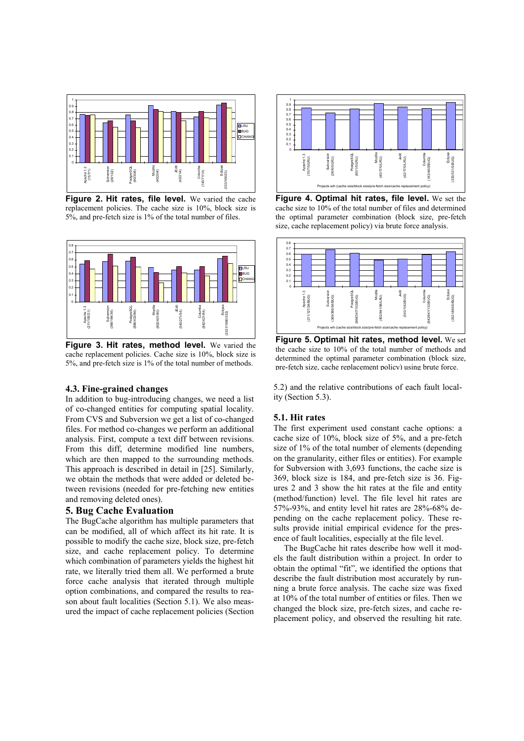

**Figure 2. Hit rates, file level.** We varied the cache replacement policies. The cache size is 10%, block size is 5%, and pre-fetch size is 1% of the total number of files.



**Figure 3. Hit rates, method level.** We varied the cache replacement policies. Cache size is 10%, block size is 5%, and pre-fetch size is 1% of the total number of methods.

#### **4.3. Fine-grained changes**

In addition to bug-introducing changes, we need a list of co-changed entities for computing spatial locality. From CVS and Subversion we get a list of co-changed files. For method co-changes we perform an additional analysis. First, compute a text diff between revisions. From this diff, determine modified line numbers, which are then mapped to the surrounding methods. This approach is described in detail in [25]. Similarly, we obtain the methods that were added or deleted between revisions (needed for pre-fetching new entities and removing deleted ones).

### **5. Bug Cache Evaluation**

The BugCache algorithm has multiple parameters that can be modified, all of which affect its hit rate. It is possible to modify the cache size, block size, pre-fetch size, and cache replacement policy. To determine which combination of parameters yields the highest hit rate, we literally tried them all. We performed a brute force cache analysis that iterated through multiple option combinations, and compared the results to reason about fault localities (Section 5.1). We also measured the impact of cache replacement policies (Section



**Figure 4. Optimal hit rates, file level.** We set the cache size to 10% of the total number of files and determined the optimal parameter combination (block size, pre-fetch size, cache replacement policy) via brute force analysis.



**Figure 5. Optimal hit rates, method level.** We set the cache size to 10% of the total number of methods and determined the optimal parameter combination (block size, pre-fetch size, cache replacement policy) using brute force.

5.2) and the relative contributions of each fault locality (Section 5.3).

#### **5.1. Hit rates**

The first experiment used constant cache options: a cache size of 10%, block size of 5%, and a pre-fetch size of 1% of the total number of elements (depending on the granularity, either files or entities). For example for Subversion with 3,693 functions, the cache size is 369, block size is 184, and pre-fetch size is 36. Figures 2 and 3 show the hit rates at the file and entity (method/function) level. The file level hit rates are 57%-93%, and entity level hit rates are 28%-68% depending on the cache replacement policy. These results provide initial empirical evidence for the presence of fault localities, especially at the file level.

The BugCache hit rates describe how well it models the fault distribution within a project. In order to obtain the optimal "fit", we identified the options that describe the fault distribution most accurately by running a brute force analysis. The cache size was fixed at 10% of the total number of entities or files. Then we changed the block size, pre-fetch sizes, and cache replacement policy, and observed the resulting hit rate.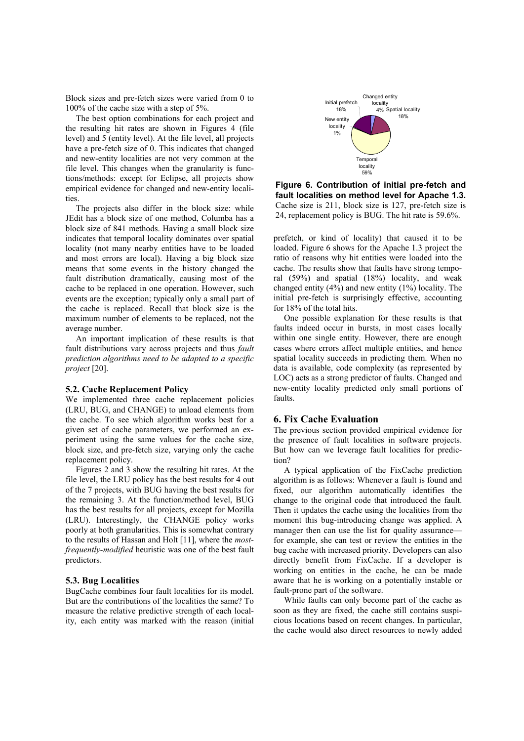Block sizes and pre-fetch sizes were varied from 0 to 100% of the cache size with a step of 5%.

The best option combinations for each project and the resulting hit rates are shown in Figures 4 (file level) and 5 (entity level). At the file level, all projects have a pre-fetch size of 0. This indicates that changed and new-entity localities are not very common at the file level. This changes when the granularity is functions/methods: except for Eclipse, all projects show empirical evidence for changed and new-entity localities.

The projects also differ in the block size: while JEdit has a block size of one method, Columba has a block size of 841 methods. Having a small block size indicates that temporal locality dominates over spatial locality (not many nearby entities have to be loaded and most errors are local). Having a big block size means that some events in the history changed the fault distribution dramatically, causing most of the cache to be replaced in one operation. However, such events are the exception; typically only a small part of the cache is replaced. Recall that block size is the maximum number of elements to be replaced, not the average number.

An important implication of these results is that fault distributions vary across projects and thus *fault prediction algorithms need to be adapted to a specific project* [20].

#### **5.2. Cache Replacement Policy**

We implemented three cache replacement policies (LRU, BUG, and CHANGE) to unload elements from the cache. To see which algorithm works best for a given set of cache parameters, we performed an experiment using the same values for the cache size, block size, and pre-fetch size, varying only the cache replacement policy.

Figures 2 and 3 show the resulting hit rates. At the file level, the LRU policy has the best results for 4 out of the 7 projects, with BUG having the best results for the remaining 3. At the function/method level, BUG has the best results for all projects, except for Mozilla (LRU). Interestingly, the CHANGE policy works poorly at both granularities. This is somewhat contrary to the results of Hassan and Holt [11], where the *mostfrequently-modified* heuristic was one of the best fault predictors.

#### **5.3. Bug Localities**

BugCache combines four fault localities for its model. But are the contributions of the localities the same? To measure the relative predictive strength of each locality, each entity was marked with the reason (initial



**Figure 6. Contribution of initial pre-fetch and fault localities on method level for Apache 1.3.** Cache size is 211, block size is 127, pre-fetch size is 24, replacement policy is BUG. The hit rate is 59.6%.

prefetch, or kind of locality) that caused it to be loaded. Figure 6 shows for the Apache 1.3 project the ratio of reasons why hit entities were loaded into the cache. The results show that faults have strong temporal (59%) and spatial (18%) locality, and weak changed entity (4%) and new entity (1%) locality. The initial pre-fetch is surprisingly effective, accounting for 18% of the total hits.

One possible explanation for these results is that faults indeed occur in bursts, in most cases locally within one single entity. However, there are enough cases where errors affect multiple entities, and hence spatial locality succeeds in predicting them. When no data is available, code complexity (as represented by LOC) acts as a strong predictor of faults. Changed and new-entity locality predicted only small portions of faults.

### **6. Fix Cache Evaluation**

The previous section provided empirical evidence for the presence of fault localities in software projects. But how can we leverage fault localities for prediction?

A typical application of the FixCache prediction algorithm is as follows: Whenever a fault is found and fixed, our algorithm automatically identifies the change to the original code that introduced the fault. Then it updates the cache using the localities from the moment this bug-introducing change was applied. A manager then can use the list for quality assurance for example, she can test or review the entities in the bug cache with increased priority. Developers can also directly benefit from FixCache. If a developer is working on entities in the cache, he can be made aware that he is working on a potentially instable or fault-prone part of the software.

While faults can only become part of the cache as soon as they are fixed, the cache still contains suspicious locations based on recent changes. In particular, the cache would also direct resources to newly added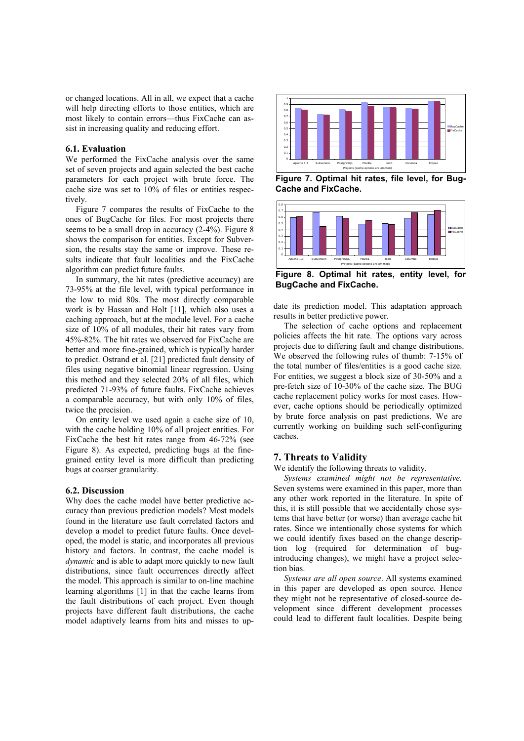or changed locations. All in all, we expect that a cache will help directing efforts to those entities, which are most likely to contain errors—thus FixCache can assist in increasing quality and reducing effort.

### **6.1. Evaluation**

We performed the FixCache analysis over the same set of seven projects and again selected the best cache parameters for each project with brute force. The cache size was set to 10% of files or entities respectively.

Figure 7 compares the results of FixCache to the ones of BugCache for files. For most projects there seems to be a small drop in accuracy (2-4%). Figure 8 shows the comparison for entities. Except for Subversion, the results stay the same or improve. These results indicate that fault localities and the FixCache algorithm can predict future faults.

In summary, the hit rates (predictive accuracy) are 73-95% at the file level, with typical performance in the low to mid 80s. The most directly comparable work is by Hassan and Holt [11], which also uses a caching approach, but at the module level. For a cache size of 10% of all modules, their hit rates vary from 45%-82%. The hit rates we observed for FixCache are better and more fine-grained, which is typically harder to predict. Ostrand et al. [21] predicted fault density of files using negative binomial linear regression. Using this method and they selected 20% of all files, which predicted 71-93% of future faults. FixCache achieves a comparable accuracy, but with only 10% of files, twice the precision.

On entity level we used again a cache size of 10, with the cache holding 10% of all project entities. For FixCache the best hit rates range from 46-72% (see Figure 8). As expected, predicting bugs at the finegrained entity level is more difficult than predicting bugs at coarser granularity.

#### **6.2. Discussion**

Why does the cache model have better predictive accuracy than previous prediction models? Most models found in the literature use fault correlated factors and develop a model to predict future faults. Once developed, the model is static, and incorporates all previous history and factors. In contrast, the cache model is *dynamic* and is able to adapt more quickly to new fault distributions, since fault occurrences directly affect the model. This approach is similar to on-line machine learning algorithms [1] in that the cache learns from the fault distributions of each project. Even though projects have different fault distributions, the cache model adaptively learns from hits and misses to up-



**Figure 7. Optimal hit rates, file level, for Bug-Cache and FixCache.**



**Figure 8. Optimal hit rates, entity level, for BugCache and FixCache.** 

date its prediction model. This adaptation approach results in better predictive power.

The selection of cache options and replacement policies affects the hit rate. The options vary across projects due to differing fault and change distributions. We observed the following rules of thumb: 7-15% of the total number of files/entities is a good cache size. For entities, we suggest a block size of 30-50% and a pre-fetch size of 10-30% of the cache size. The BUG cache replacement policy works for most cases. However, cache options should be periodically optimized by brute force analysis on past predictions. We are currently working on building such self-configuring caches.

#### **7. Threats to Validity**

We identify the following threats to validity.

*Systems examined might not be representative.*  Seven systems were examined in this paper, more than any other work reported in the literature. In spite of this, it is still possible that we accidentally chose systems that have better (or worse) than average cache hit rates. Since we intentionally chose systems for which we could identify fixes based on the change description log (required for determination of bugintroducing changes), we might have a project selection bias.

*Systems are all open source*. All systems examined in this paper are developed as open source. Hence they might not be representative of closed-source development since different development processes could lead to different fault localities. Despite being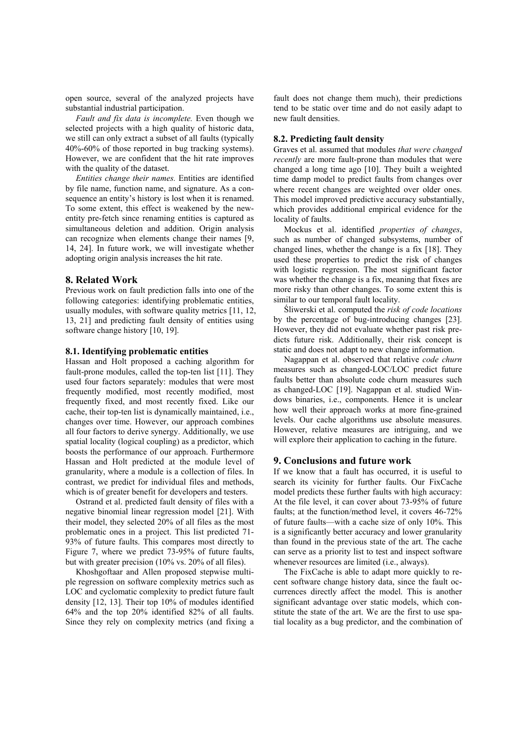open source, several of the analyzed projects have substantial industrial participation.

*Fault and fix data is incomplete.* Even though we selected projects with a high quality of historic data, we still can only extract a subset of all faults (typically 40%-60% of those reported in bug tracking systems). However, we are confident that the hit rate improves with the quality of the dataset.

*Entities change their names.* Entities are identified by file name, function name, and signature. As a consequence an entity's history is lost when it is renamed. To some extent, this effect is weakened by the newentity pre-fetch since renaming entities is captured as simultaneous deletion and addition. Origin analysis can recognize when elements change their names [9, 14, 24]. In future work, we will investigate whether adopting origin analysis increases the hit rate.

#### **8. Related Work**

Previous work on fault prediction falls into one of the following categories: identifying problematic entities, usually modules, with software quality metrics [11, 12, 13, 21] and predicting fault density of entities using software change history [10, 19].

#### **8.1. Identifying problematic entities**

Hassan and Holt proposed a caching algorithm for fault-prone modules, called the top-ten list [11]. They used four factors separately: modules that were most frequently modified, most recently modified, most frequently fixed, and most recently fixed. Like our cache, their top-ten list is dynamically maintained, i.e., changes over time. However, our approach combines all four factors to derive synergy. Additionally, we use spatial locality (logical coupling) as a predictor, which boosts the performance of our approach. Furthermore Hassan and Holt predicted at the module level of granularity, where a module is a collection of files. In contrast, we predict for individual files and methods, which is of greater benefit for developers and testers.

Ostrand et al. predicted fault density of files with a negative binomial linear regression model [21]. With their model, they selected 20% of all files as the most problematic ones in a project. This list predicted 71- 93% of future faults. This compares most directly to Figure 7, where we predict 73-95% of future faults, but with greater precision (10% vs. 20% of all files).

Khoshgoftaar and Allen proposed stepwise multiple regression on software complexity metrics such as LOC and cyclomatic complexity to predict future fault density [12, 13]. Their top 10% of modules identified 64% and the top 20% identified 82% of all faults. Since they rely on complexity metrics (and fixing a

fault does not change them much), their predictions tend to be static over time and do not easily adapt to new fault densities.

### **8.2. Predicting fault density**

Graves et al. assumed that modules *that were changed recently* are more fault-prone than modules that were changed a long time ago [10]. They built a weighted time damp model to predict faults from changes over where recent changes are weighted over older ones. This model improved predictive accuracy substantially, which provides additional empirical evidence for the locality of faults.

Mockus et al. identified *properties of changes*, such as number of changed subsystems, number of changed lines, whether the change is a fix [18]. They used these properties to predict the risk of changes with logistic regression. The most significant factor was whether the change is a fix, meaning that fixes are more risky than other changes. To some extent this is similar to our temporal fault locality.

Śliwerski et al. computed the *risk of code locations* by the percentage of bug-introducing changes [23]. However, they did not evaluate whether past risk predicts future risk. Additionally, their risk concept is static and does not adapt to new change information.

Nagappan et al. observed that relative *code churn* measures such as changed-LOC/LOC predict future faults better than absolute code churn measures such as changed-LOC [19]. Nagappan et al. studied Windows binaries, i.e., components. Hence it is unclear how well their approach works at more fine-grained levels. Our cache algorithms use absolute measures. However, relative measures are intriguing, and we will explore their application to caching in the future.

#### **9. Conclusions and future work**

If we know that a fault has occurred, it is useful to search its vicinity for further faults. Our FixCache model predicts these further faults with high accuracy: At the file level, it can cover about 73-95% of future faults; at the function/method level, it covers 46-72% of future faults—with a cache size of only 10%. This is a significantly better accuracy and lower granularity than found in the previous state of the art. The cache can serve as a priority list to test and inspect software whenever resources are limited (i.e., always).

The FixCache is able to adapt more quickly to recent software change history data, since the fault occurrences directly affect the model. This is another significant advantage over static models, which constitute the state of the art. We are the first to use spatial locality as a bug predictor, and the combination of